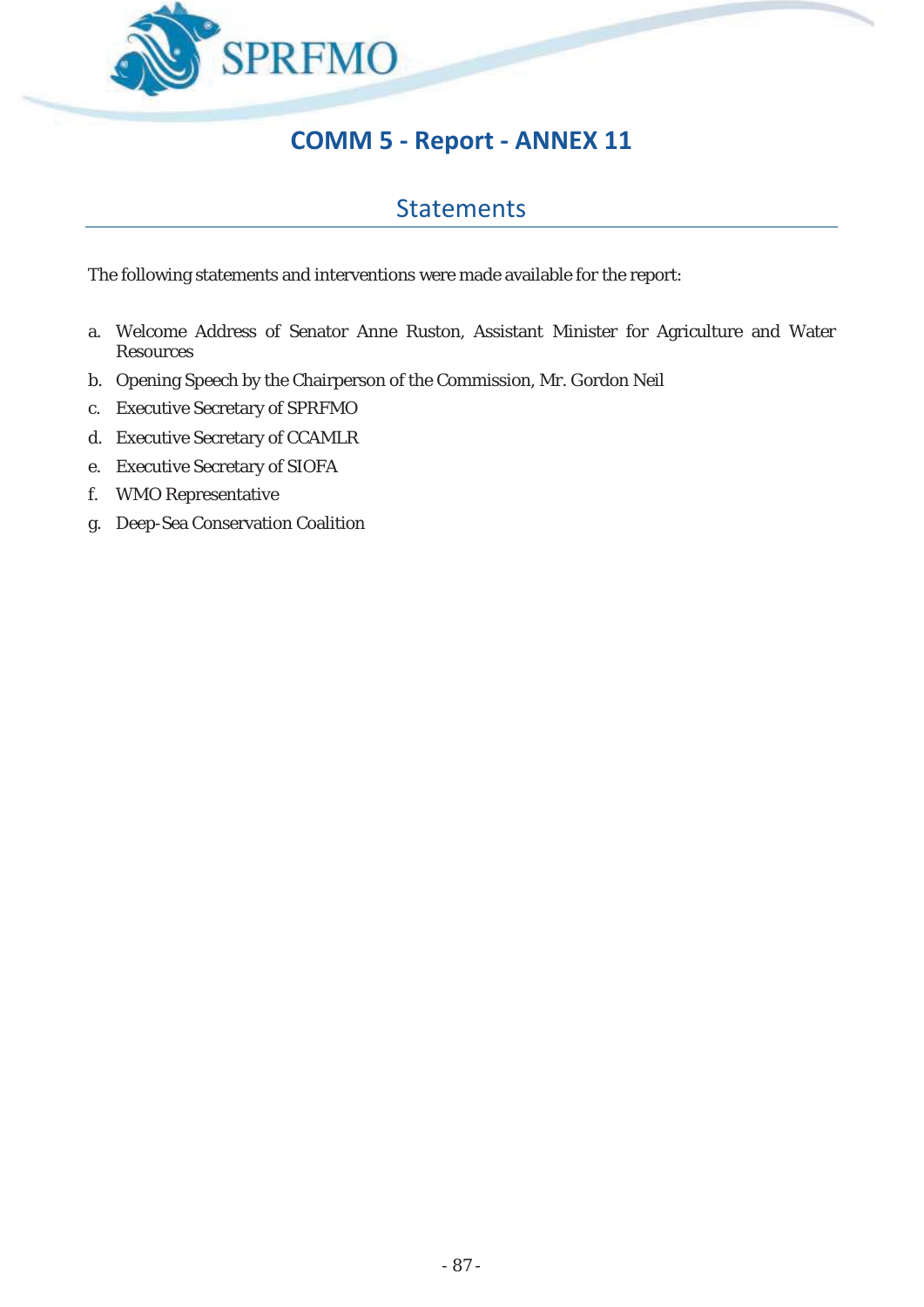

# **COMM 5 - Report - ANNEX 11**

### Statements

The following statements and interventions were made available for the report:

- a. Welcome Address of Senator Anne Ruston, Assistant Minister for Agriculture and Water **Resources**
- b. Opening Speech by the Chairperson of the Commission, Mr. Gordon Neil
- c. Executive Secretary of SPRFMO
- d. Executive Secretary of CCAMLR
- e. Executive Secretary of SIOFA
- f. WMO Representative
- g. Deep-Sea Conservation Coalition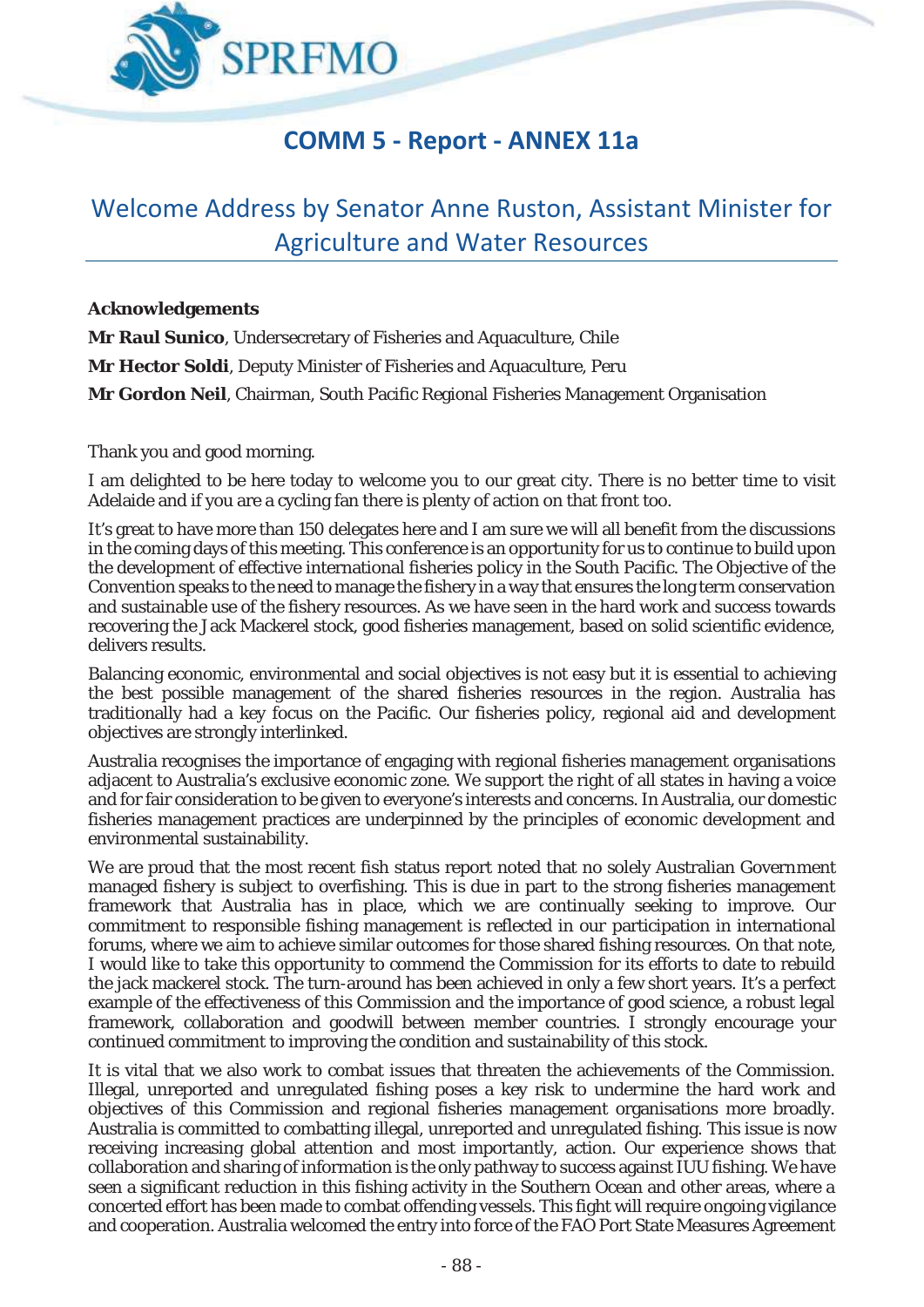

# **COMM 5 - Report - ANNEX 11a**

# Welcome Address by Senator Anne Ruston, Assistant Minister for Agriculture and Water Resources

#### **Acknowledgements**

**Mr Raul Sunico**, Undersecretary of Fisheries and Aquaculture, Chile **Mr Hector Soldi**, Deputy Minister of Fisheries and Aquaculture, Peru **Mr Gordon Neil**, Chairman, South Pacific Regional Fisheries Management Organisation

Thank you and good morning.

I am delighted to be here today to welcome you to our great city. There is no better time to visit Adelaide and if you are a cycling fan there is plenty of action on that front too.

It's great to have more than 150 delegates here and I am sure we will all benefit from the discussions in the coming days of this meeting. This conference is an opportunity for us to continue to build upon the development of effective international fisheries policy in the South Pacific. The Objective of the Convention speaks to the need to manage the fishery in a way that ensures the long term conservation and sustainable use of the fishery resources. As we have seen in the hard work and success towards recovering the Jack Mackerel stock, good fisheries management, based on solid scientific evidence, delivers results.

Balancing economic, environmental and social objectives is not easy but it is essential to achieving the best possible management of the shared fisheries resources in the region. Australia has traditionally had a key focus on the Pacific. Our fisheries policy, regional aid and development objectives are strongly interlinked.

Australia recognises the importance of engaging with regional fisheries management organisations adjacent to Australia's exclusive economic zone. We support the right of all states in having a voice and for fair consideration to be given to everyone's interests and concerns. In Australia, our domestic fisheries management practices are underpinned by the principles of economic development and environmental sustainability.

We are proud that the most recent fish status report noted that no solely Australian Government managed fishery is subject to overfishing. This is due in part to the strong fisheries management framework that Australia has in place, which we are continually seeking to improve. Our commitment to responsible fishing management is reflected in our participation in international forums, where we aim to achieve similar outcomes for those shared fishing resources. On that note, I would like to take this opportunity to commend the Commission for its efforts to date to rebuild the jack mackerel stock. The turn-around has been achieved in only a few short years. It's a perfect example of the effectiveness of this Commission and the importance of good science, a robust legal framework, collaboration and goodwill between member countries. I strongly encourage your continued commitment to improving the condition and sustainability of this stock.

It is vital that we also work to combat issues that threaten the achievements of the Commission. Illegal, unreported and unregulated fishing poses a key risk to undermine the hard work and objectives of this Commission and regional fisheries management organisations more broadly. Australia is committed to combatting illegal, unreported and unregulated fishing. This issue is now receiving increasing global attention and most importantly, action. Our experience shows that collaboration and sharing of information is the only pathway to success against IUU fishing. We have seen a significant reduction in this fishing activity in the Southern Ocean and other areas, where a concerted effort has been made to combat offending vessels. This fight will require ongoing vigilance and cooperation. Australia welcomed the entry into force of the FAO Port State Measures Agreement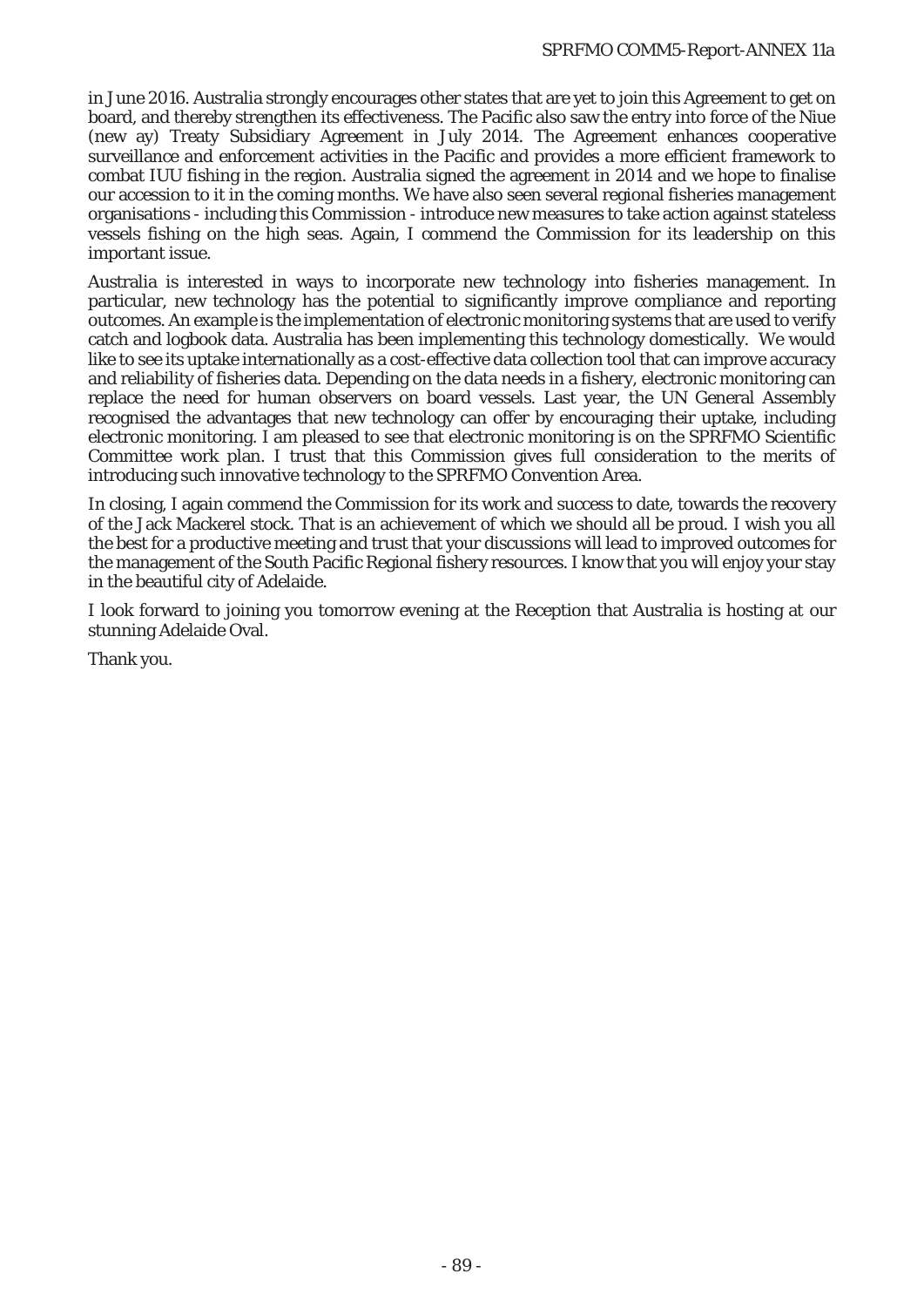in June 2016. Australia strongly encourages other states that are yet to join this Agreement to get on board, and thereby strengthen its effectiveness. The Pacific also saw the entry into force of the Niue (new ay) Treaty Subsidiary Agreement in July 2014. The Agreement enhances cooperative surveillance and enforcement activities in the Pacific and provides a more efficient framework to combat IUU fishing in the region. Australia signed the agreement in 2014 and we hope to finalise our accession to it in the coming months. We have also seen several regional fisheries management organisations - including this Commission - introduce new measures to take action against stateless vessels fishing on the high seas. Again, I commend the Commission for its leadership on this important issue.

Australia is interested in ways to incorporate new technology into fisheries management. In particular, new technology has the potential to significantly improve compliance and reporting outcomes. An example is the implementation of electronic monitoring systems that are used to verify catch and logbook data. Australia has been implementing this technology domestically. We would like to see its uptake internationally as a cost-effective data collection tool that can improve accuracy and reliability of fisheries data. Depending on the data needs in a fishery, electronic monitoring can replace the need for human observers on board vessels. Last year, the UN General Assembly recognised the advantages that new technology can offer by encouraging their uptake, including electronic monitoring. I am pleased to see that electronic monitoring is on the SPRFMO Scientific Committee work plan. I trust that this Commission gives full consideration to the merits of introducing such innovative technology to the SPRFMO Convention Area.

In closing, I again commend the Commission for its work and success to date, towards the recovery of the Jack Mackerel stock. That is an achievement of which we should all be proud. I wish you all the best for a productive meeting and trust that your discussions will lead to improved outcomes for the management of the South Pacific Regional fishery resources. I know that you will enjoy your stay in the beautiful city of Adelaide.

I look forward to joining you tomorrow evening at the Reception that Australia is hosting at our stunning Adelaide Oval.

Thank you.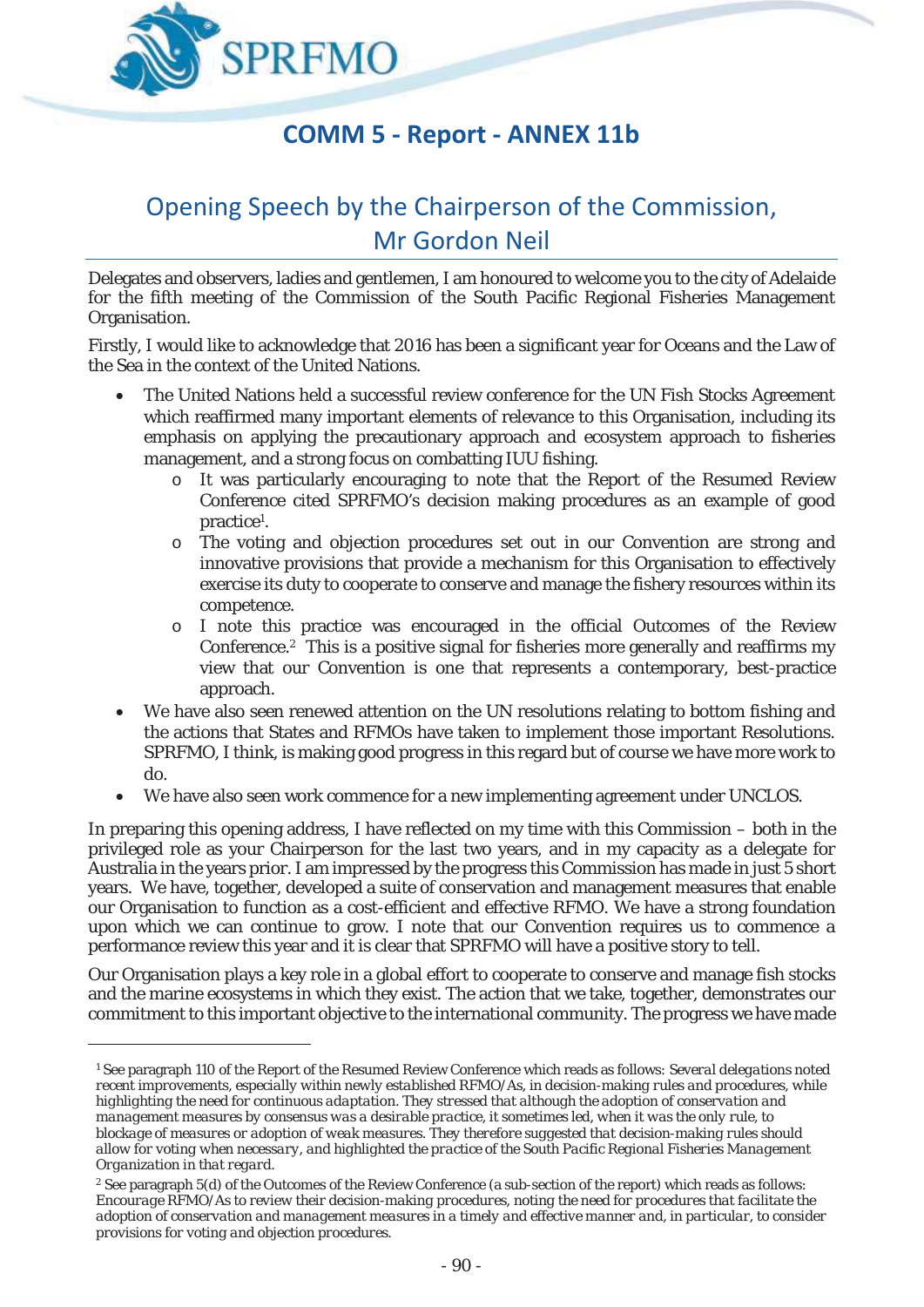

# **COMM 5 - Report - ANNEX 11b**

# Opening Speech by the Chairperson of the Commission, Mr Gordon Neil

Delegates and observers, ladies and gentlemen, I am honoured to welcome you to the city of Adelaide for the fifth meeting of the Commission of the South Pacific Regional Fisheries Management Organisation.

Firstly, I would like to acknowledge that 2016 has been a significant year for Oceans and the Law of the Sea in the context of the United Nations.

- The United Nations held a successful review conference for the UN Fish Stocks Agreement which reaffirmed many important elements of relevance to this Organisation, including its emphasis on applying the precautionary approach and ecosystem approach to fisheries management, and a strong focus on combatting IUU fishing.
	- o It was particularly encouraging to note that the Report of the Resumed Review Conference cited SPRFMO's decision making procedures as an example of good practice1 .
	- o The voting and objection procedures set out in our Convention are strong and innovative provisions that provide a mechanism for this Organisation to effectively exercise its duty to cooperate to conserve and manage the fishery resources within its competence.
	- o I note this practice was encouraged in the official Outcomes of the Review Conference.2 This is a positive signal for fisheries more generally and reaffirms my view that our Convention is one that represents a contemporary, best-practice approach.
- We have also seen renewed attention on the UN resolutions relating to bottom fishing and the actions that States and RFMOs have taken to implement those important Resolutions. SPRFMO, I think, is making good progress in this regard but of course we have more work to do.
- We have also seen work commence for a new implementing agreement under UNCLOS.

In preparing this opening address, I have reflected on my time with this Commission – both in the privileged role as your Chairperson for the last two years, and in my capacity as a delegate for Australia in the years prior. I am impressed by the progress this Commission has made in just 5 short years. We have, together, developed a suite of conservation and management measures that enable our Organisation to function as a cost-efficient and effective RFMO. We have a strong foundation upon which we can continue to grow. I note that our Convention requires us to commence a performance review this year and it is clear that SPRFMO will have a positive story to tell.

Our Organisation plays a key role in a global effort to cooperate to conserve and manage fish stocks and the marine ecosystems in which they exist. The action that we take, together, demonstrates our commitment to this important objective to the international community. The progress we have made

<u>.</u>

<sup>1</sup> See paragraph 110 of the Report of the Resumed Review Conference which reads as follows: *Several delegations noted recent improvements, especially within newly established RFMO/As, in decision-making rules and procedures, while highlighting the need for continuous adaptation. They stressed that although the adoption of conservation and management measures by consensus was a desirable practice, it sometimes led, when it was the only rule, to blockage of measures or adoption of weak measures. They therefore suggested that decision-making rules should allow for voting when necessary, and highlighted the practice of the South Pacific Regional Fisheries Management Organization in that regard.* 

<sup>2</sup> See paragraph 5(d) of the Outcomes of the Review Conference (a sub-section of the report) which reads as follows: *Encourage RFMO/As to review their decision-making procedures, noting the need for procedures that facilitate the adoption of conservation and management measures in a timely and effective manner and, in particular, to consider provisions for voting and objection procedures.*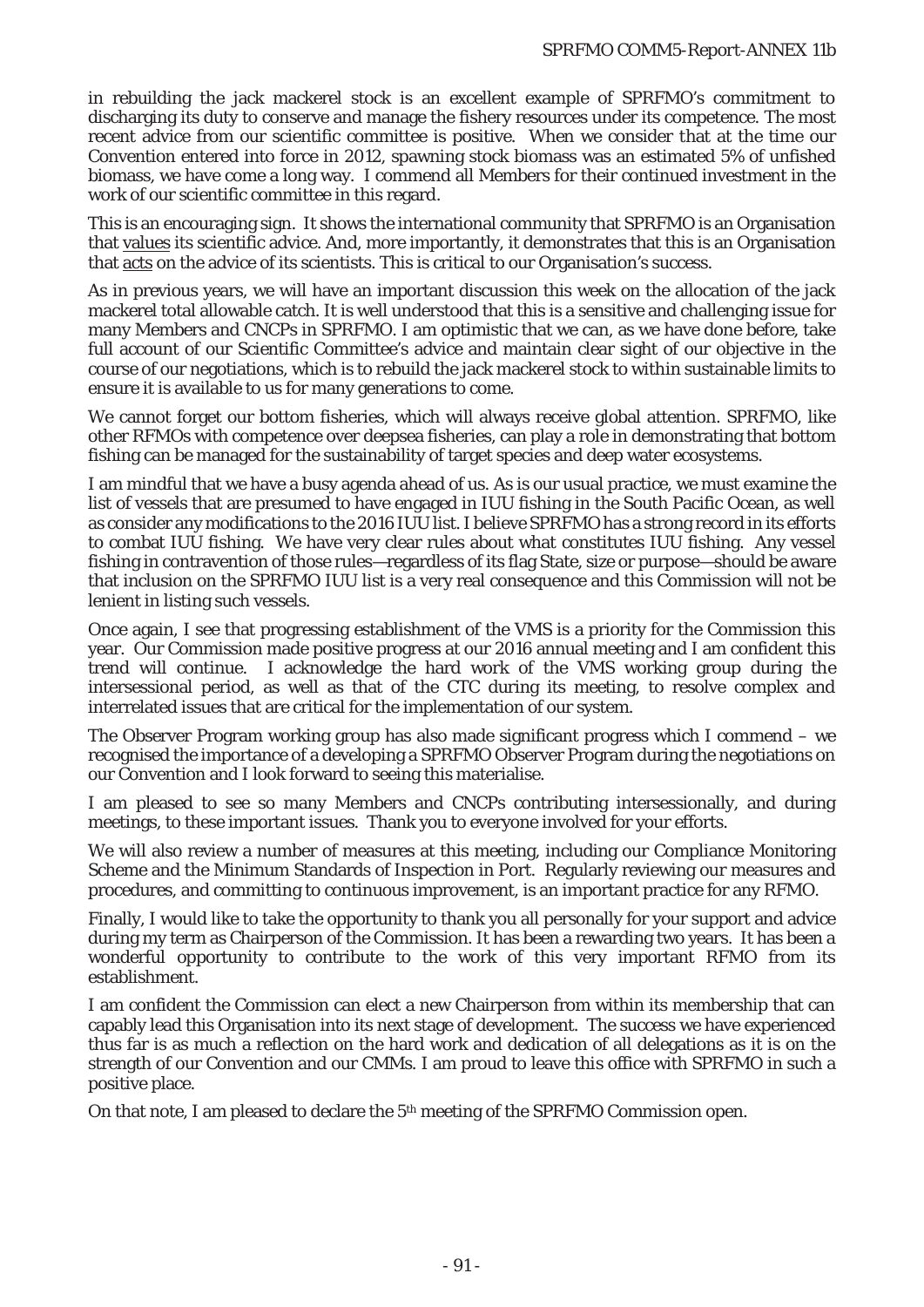in rebuilding the jack mackerel stock is an excellent example of SPRFMO's commitment to discharging its duty to conserve and manage the fishery resources under its competence. The most recent advice from our scientific committee is positive. When we consider that at the time our Convention entered into force in 2012, spawning stock biomass was an estimated 5% of unfished biomass, we have come a long way. I commend all Members for their continued investment in the work of our scientific committee in this regard.

This is an encouraging sign. It shows the international community that SPRFMO is an Organisation that values its scientific advice. And, more importantly, it demonstrates that this is an Organisation that acts on the advice of its scientists. This is critical to our Organisation's success.

As in previous years, we will have an important discussion this week on the allocation of the jack mackerel total allowable catch. It is well understood that this is a sensitive and challenging issue for many Members and CNCPs in SPRFMO. I am optimistic that we can, as we have done before, take full account of our Scientific Committee's advice and maintain clear sight of our objective in the course of our negotiations, which is to rebuild the jack mackerel stock to within sustainable limits to ensure it is available to us for many generations to come.

We cannot forget our bottom fisheries, which will always receive global attention. SPRFMO, like other RFMOs with competence over deepsea fisheries, can play a role in demonstrating that bottom fishing can be managed for the sustainability of target species and deep water ecosystems.

I am mindful that we have a busy agenda ahead of us. As is our usual practice, we must examine the list of vessels that are presumed to have engaged in IUU fishing in the South Pacific Ocean, as well as consider any modifications to the 2016 IUU list. I believe SPRFMO has a strong record in its efforts to combat IUU fishing. We have very clear rules about what constitutes IUU fishing. Any vessel fishing in contravention of those rules—regardless of its flag State, size or purpose—should be aware that inclusion on the SPRFMO IUU list is a very real consequence and this Commission will not be lenient in listing such vessels.

Once again, I see that progressing establishment of the VMS is a priority for the Commission this year. Our Commission made positive progress at our 2016 annual meeting and I am confident this trend will continue. I acknowledge the hard work of the VMS working group during the intersessional period, as well as that of the CTC during its meeting, to resolve complex and interrelated issues that are critical for the implementation of our system.

The Observer Program working group has also made significant progress which I commend – we recognised the importance of a developing a SPRFMO Observer Program during the negotiations on our Convention and I look forward to seeing this materialise.

I am pleased to see so many Members and CNCPs contributing intersessionally, and during meetings, to these important issues. Thank you to everyone involved for your efforts.

We will also review a number of measures at this meeting, including our Compliance Monitoring Scheme and the Minimum Standards of Inspection in Port. Regularly reviewing our measures and procedures, and committing to continuous improvement, is an important practice for any RFMO.

Finally, I would like to take the opportunity to thank you all personally for your support and advice during my term as Chairperson of the Commission. It has been a rewarding two years. It has been a wonderful opportunity to contribute to the work of this very important RFMO from its establishment.

I am confident the Commission can elect a new Chairperson from within its membership that can capably lead this Organisation into its next stage of development. The success we have experienced thus far is as much a reflection on the hard work and dedication of all delegations as it is on the strength of our Convention and our CMMs. I am proud to leave this office with SPRFMO in such a positive place.

On that note, I am pleased to declare the 5<sup>th</sup> meeting of the SPRFMO Commission open.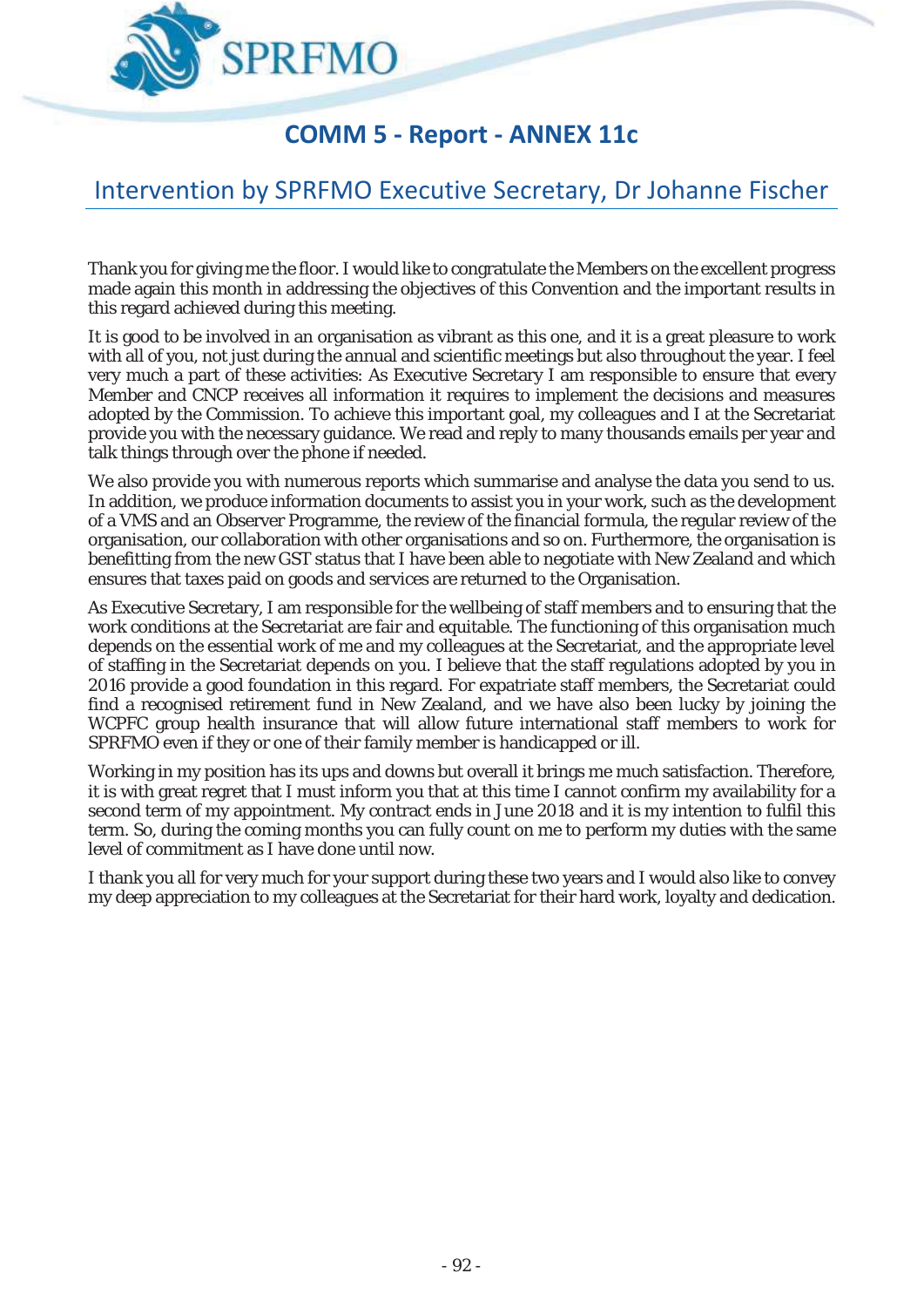

### **COMM 5 - Report - ANNEX 11c**

# Intervention by SPRFMO Executive Secretary, Dr Johanne Fischer

Thank you for giving me the floor. I would like to congratulate the Members on the excellent progress made again this month in addressing the objectives of this Convention and the important results in this regard achieved during this meeting.

It is good to be involved in an organisation as vibrant as this one, and it is a great pleasure to work with all of you, not just during the annual and scientific meetings but also throughout the year. I feel very much a part of these activities: As Executive Secretary I am responsible to ensure that every Member and CNCP receives all information it requires to implement the decisions and measures adopted by the Commission. To achieve this important goal, my colleagues and I at the Secretariat provide you with the necessary guidance. We read and reply to many thousands emails per year and talk things through over the phone if needed.

We also provide you with numerous reports which summarise and analyse the data you send to us. In addition, we produce information documents to assist you in your work, such as the development of a VMS and an Observer Programme, the review of the financial formula, the regular review of the organisation, our collaboration with other organisations and so on. Furthermore, the organisation is benefitting from the new GST status that I have been able to negotiate with New Zealand and which ensures that taxes paid on goods and services are returned to the Organisation.

As Executive Secretary, I am responsible for the wellbeing of staff members and to ensuring that the work conditions at the Secretariat are fair and equitable. The functioning of this organisation much depends on the essential work of me and my colleagues at the Secretariat, and the appropriate level of staffing in the Secretariat depends on you. I believe that the staff regulations adopted by you in 2016 provide a good foundation in this regard. For expatriate staff members, the Secretariat could find a recognised retirement fund in New Zealand, and we have also been lucky by joining the WCPFC group health insurance that will allow future international staff members to work for SPRFMO even if they or one of their family member is handicapped or ill.

Working in my position has its ups and downs but overall it brings me much satisfaction. Therefore, it is with great regret that I must inform you that at this time I cannot confirm my availability for a second term of my appointment. My contract ends in June 2018 and it is my intention to fulfil this term. So, during the coming months you can fully count on me to perform my duties with the same level of commitment as I have done until now.

I thank you all for very much for your support during these two years and I would also like to convey my deep appreciation to my colleagues at the Secretariat for their hard work, loyalty and dedication.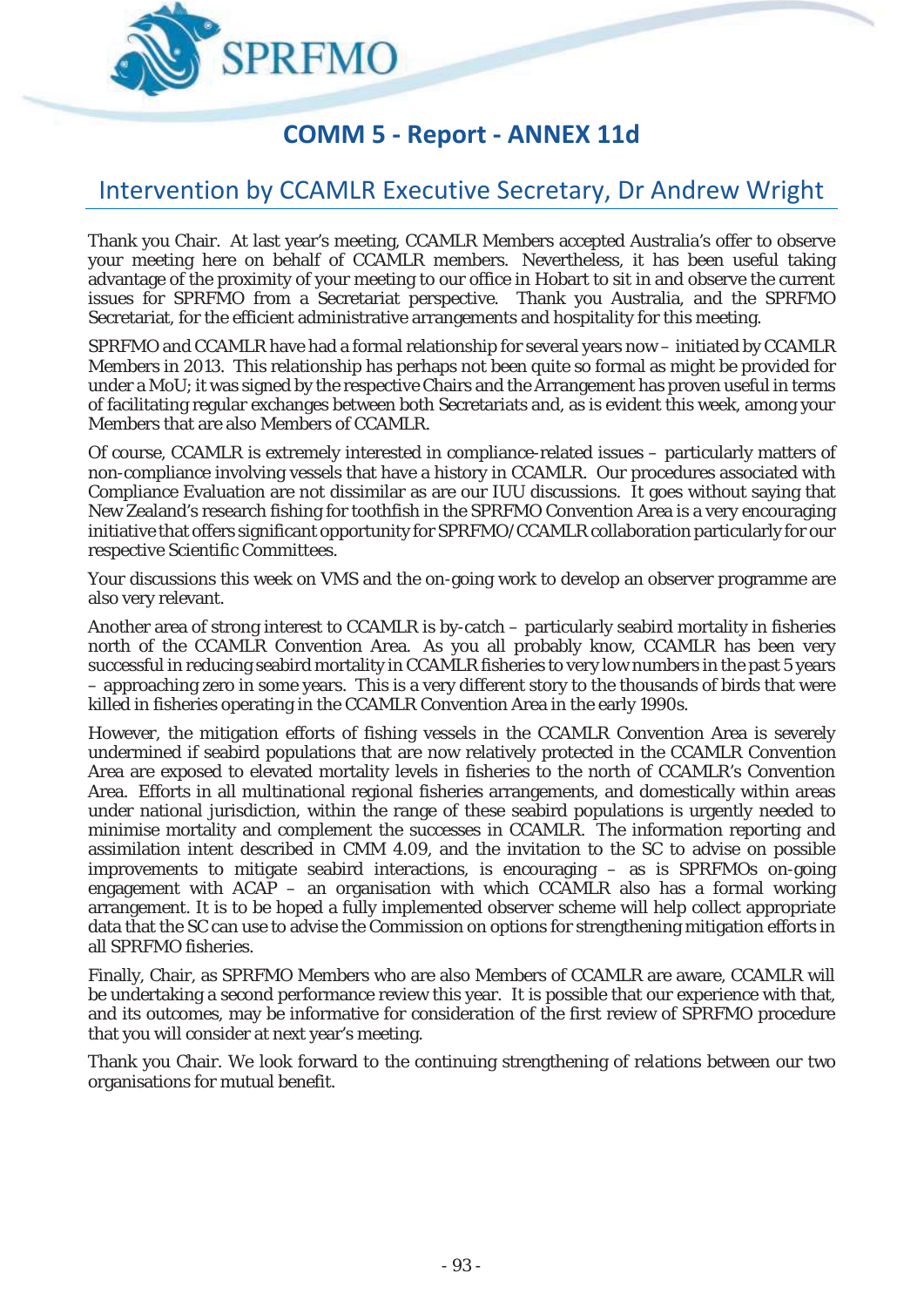

# **COMM 5 - Report - ANNEX 11d**

#### Intervention by CCAMLR Executive Secretary, Dr Andrew Wright

Thank you Chair. At last year's meeting, CCAMLR Members accepted Australia's offer to observe your meeting here on behalf of CCAMLR members. Nevertheless, it has been useful taking advantage of the proximity of your meeting to our office in Hobart to sit in and observe the current issues for SPRFMO from a Secretariat perspective. Thank you Australia, and the SPRFMO Secretariat, for the efficient administrative arrangements and hospitality for this meeting.

SPRFMO and CCAMLR have had a formal relationship for several years now – initiated by CCAMLR Members in 2013. This relationship has perhaps not been quite so formal as might be provided for under a MoU; it was signed by the respective Chairs and the Arrangement has proven useful in terms of facilitating regular exchanges between both Secretariats and, as is evident this week, among your Members that are also Members of CCAMLR.

Of course, CCAMLR is extremely interested in compliance-related issues – particularly matters of non-compliance involving vessels that have a history in CCAMLR. Our procedures associated with Compliance Evaluation are not dissimilar as are our IUU discussions. It goes without saying that New Zealand's research fishing for toothfish in the SPRFMO Convention Area is a very encouraging initiative that offers significant opportunity for SPRFMO/CCAMLR collaboration particularly for our respective Scientific Committees.

Your discussions this week on VMS and the on-going work to develop an observer programme are also very relevant.

Another area of strong interest to CCAMLR is by-catch – particularly seabird mortality in fisheries north of the CCAMLR Convention Area. As you all probably know, CCAMLR has been very successful in reducing seabird mortality in CCAMLR fisheries to very low numbers in the past 5 years – approaching zero in some years. This is a very different story to the thousands of birds that were killed in fisheries operating in the CCAMLR Convention Area in the early 1990s.

However, the mitigation efforts of fishing vessels in the CCAMLR Convention Area is severely undermined if seabird populations that are now relatively protected in the CCAMLR Convention Area are exposed to elevated mortality levels in fisheries to the north of CCAMLR's Convention Area. Efforts in all multinational regional fisheries arrangements, and domestically within areas under national jurisdiction, within the range of these seabird populations is urgently needed to minimise mortality and complement the successes in CCAMLR. The information reporting and assimilation intent described in CMM 4.09, and the invitation to the SC to advise on possible improvements to mitigate seabird interactions, is encouraging – as is SPRFMOs on-going engagement with ACAP – an organisation with which CCAMLR also has a formal working arrangement. It is to be hoped a fully implemented observer scheme will help collect appropriate data that the SC can use to advise the Commission on options for strengthening mitigation efforts in all SPRFMO fisheries.

Finally, Chair, as SPRFMO Members who are also Members of CCAMLR are aware, CCAMLR will be undertaking a second performance review this year. It is possible that our experience with that, and its outcomes, may be informative for consideration of the first review of SPRFMO procedure that you will consider at next year's meeting.

Thank you Chair. We look forward to the continuing strengthening of relations between our two organisations for mutual benefit.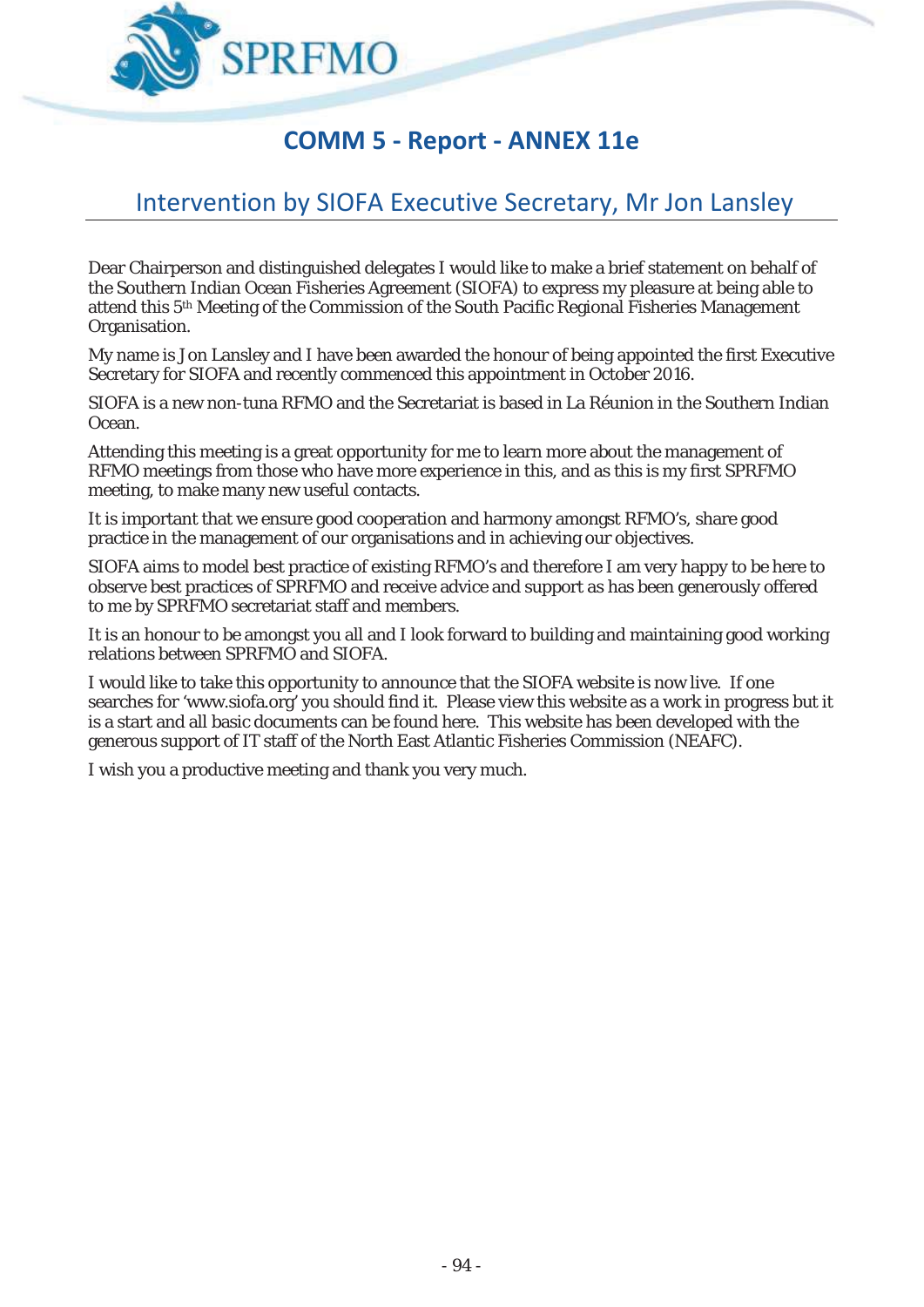

# **COMM 5 - Report - ANNEX 11e**

# Intervention by SIOFA Executive Secretary, Mr Jon Lansley

Dear Chairperson and distinguished delegates I would like to make a brief statement on behalf of the Southern Indian Ocean Fisheries Agreement (SIOFA) to express my pleasure at being able to attend this 5<sup>th</sup> Meeting of the Commission of the South Pacific Regional Fisheries Management Organisation.

My name is Jon Lansley and I have been awarded the honour of being appointed the first Executive Secretary for SIOFA and recently commenced this appointment in October 2016.

SIOFA is a new non-tuna RFMO and the Secretariat is based in La Réunion in the Southern Indian Ocean.

Attending this meeting is a great opportunity for me to learn more about the management of RFMO meetings from those who have more experience in this, and as this is my first SPRFMO meeting, to make many new useful contacts.

It is important that we ensure good cooperation and harmony amongst RFMO's, share good practice in the management of our organisations and in achieving our objectives.

SIOFA aims to model best practice of existing RFMO's and therefore I am very happy to be here to observe best practices of SPRFMO and receive advice and support as has been generously offered to me by SPRFMO secretariat staff and members.

It is an honour to be amongst you all and I look forward to building and maintaining good working relations between SPRFMO and SIOFA.

I would like to take this opportunity to announce that the SIOFA website is now live. If one searches for 'www.siofa.org' you should find it. Please view this website as a work in progress but it is a start and all basic documents can be found here. This website has been developed with the generous support of IT staff of the North East Atlantic Fisheries Commission (NEAFC).

I wish you a productive meeting and thank you very much.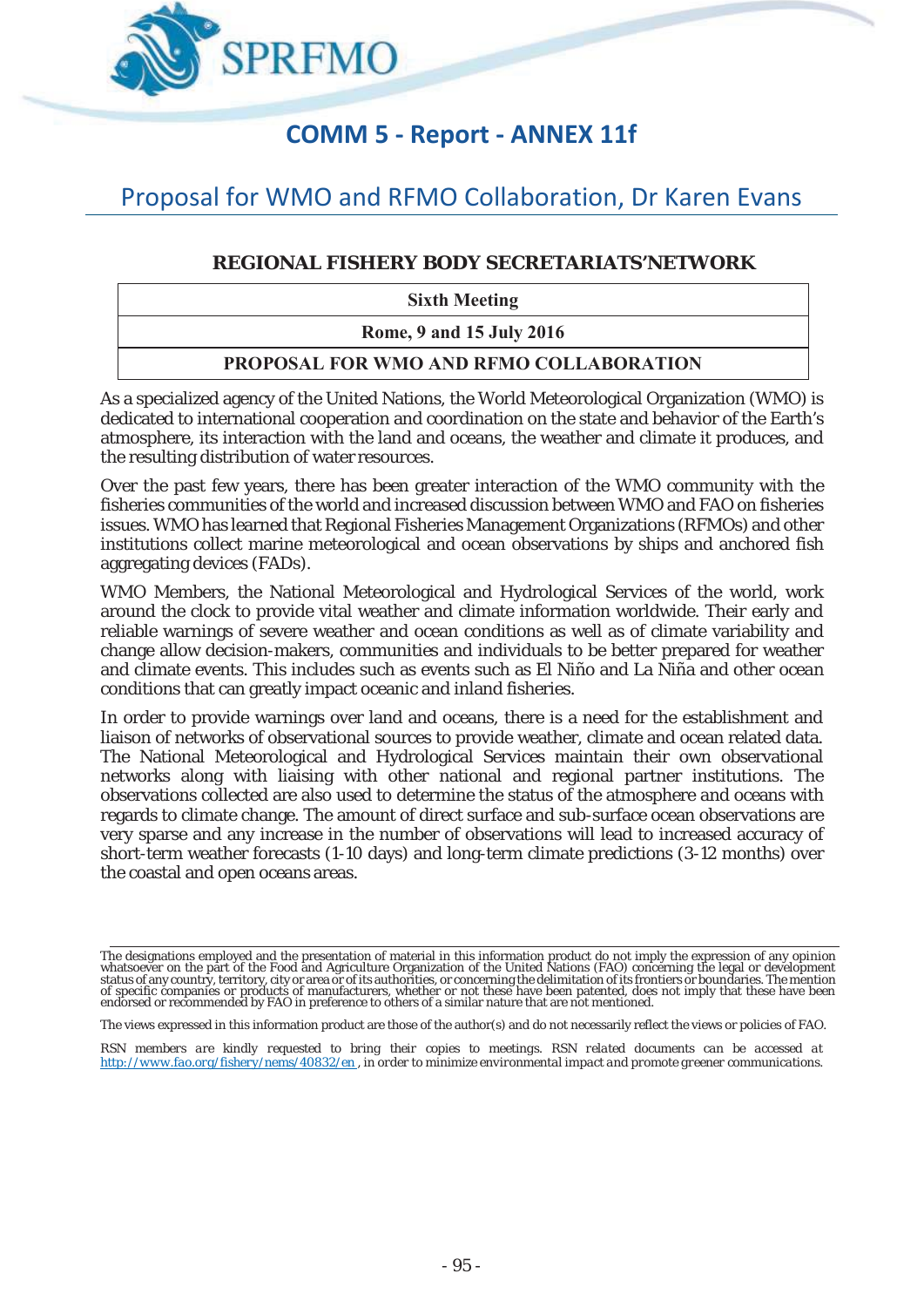

### **COMM 5 - Report - ANNEX 11f**

# Proposal for WMO and RFMO Collaboration, Dr Karen Evans

#### **REGIONAL FISHERY BODY SECRETARIATS'NETWORK**

**Sixth Meeting** 

**Rome, 9 and 15 July 2016** 

#### **PROPOSAL FOR WMO AND RFMO COLLABORATION**

As a specialized agency of the United Nations, the World Meteorological Organization (WMO) is dedicated to international cooperation and coordination on the state and behavior of the Earth's atmosphere, its interaction with the land and oceans, the weather and climate it produces, and the resulting distribution of water resources.

Over the past few years, there has been greater interaction of the WMO community with the fisheries communities of the world and increased discussion between WMO and FAO on fisheries issues. WMO has learned that Regional Fisheries Management Organizations (RFMOs) and other institutions collect marine meteorological and ocean observations by ships and anchored fish aggregating devices (FADs).

WMO Members, the National Meteorological and Hydrological Services of the world, work around the clock to provide vital weather and climate information worldwide. Their early and reliable warnings of severe weather and ocean conditions as well as of climate variability and change allow decision-makers, communities and individuals to be better prepared for weather and climate events. This includes such as events such as El Niño and La Niña and other ocean conditions that can greatly impact oceanic and inland fisheries.

In order to provide warnings over land and oceans, there is a need for the establishment and liaison of networks of observational sources to provide weather, climate and ocean related data. The National Meteorological and Hydrological Services maintain their own observational networks along with liaising with other national and regional partner institutions. The observations collected are also used to determine the status of the atmosphere and oceans with regards to climate change. The amount of direct surface and sub-surface ocean observations are very sparse and any increase in the number of observations will lead to increased accuracy of short-term weather forecasts (1-10 days) and long-term climate predictions (3-12 months) over the coastal and open oceans areas.

*RSN members are kindly requested to bring their copies to meetings. RSN related documents can be accessed at http://www.fao.org/fishery/nems/40832/en , in order to minimize environmental impact and promote greener communications.* 

The designations employed and the presentation of material in this information product do not imply the expression of any opinion<br>whatsoever on the part of the Food and Agriculture Organization of the United Nations (FAO) of specific companies or products of manufacturers, whether or not these have been patented, does not imply that these have been<br>endorsed or recommended by FAO in preference to others of a similar nature that are not menti

The views expressed in this information product are those of the author(s) and do not necessarily reflect the views or policies of FAO.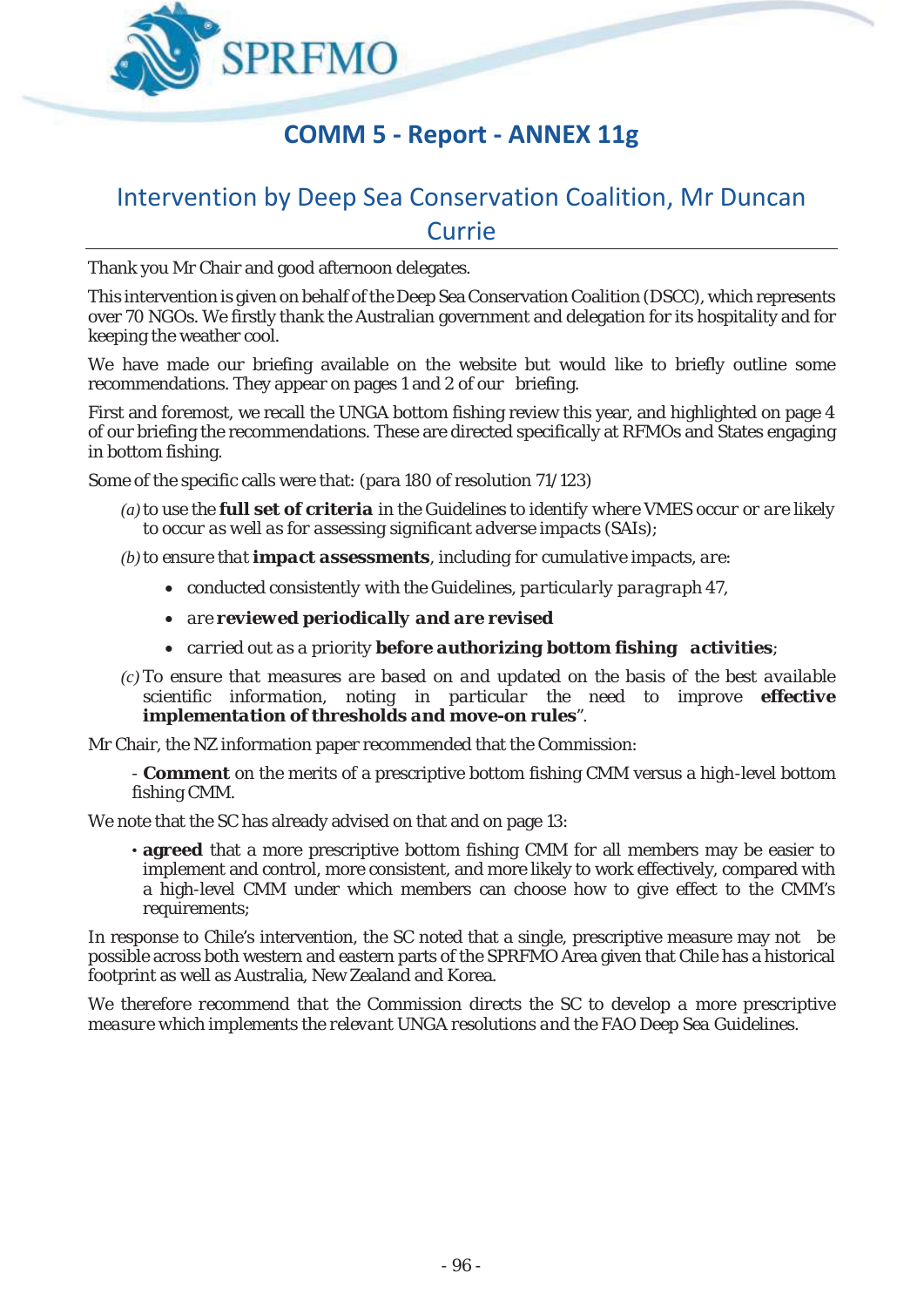

### **COMM 5 - Report - ANNEX 11g**

### Intervention by Deep Sea Conservation Coalition, Mr Duncan Currie

Thank you Mr Chair and good afternoon delegates.

This intervention is given on behalf of the Deep Sea Conservation Coalition (DSCC), which represents over 70 NGOs. We firstly thank the Australian government and delegation for its hospitality and for keeping the weather cool.

We have made our briefing available on the website but would like to briefly outline some recommendations. They appear on pages 1 and 2 of our briefing.

First and foremost, we recall the UNGA bottom fishing review this year, and highlighted on page 4 of our briefing the recommendations. These are directed specifically at RFMOs and States engaging in bottom fishing.

Some of the specific calls were that: (para 180 of resolution 71/123)

- *(a)to use the full set of criteria in the Guidelines to identify where VMES occur or are likely to occur as well as for assessing significant adverse impacts (SAIs);*
- *(b)to ensure that impact assessments, including for cumulative impacts, are:* 
	- x *conducted consistently with the Guidelines, particularly paragraph 47,*
	- x *are reviewed periodically and are revised*
	- x *carried out as a priority before authorizing bottom fishing activities;*
- *(c) To ensure that measures are based on and updated on the basis of the best available scientific information, noting in particular the need to improve effective implementation of thresholds and move-on rules".*

Mr Chair, the NZ information paper recommended that the Commission:

- **Comment** on the merits of a prescriptive bottom fishing CMM versus a high-level bottom fishing CMM.

We note that the SC has already advised on that and on page 13:

• **agreed** that a more prescriptive bottom fishing CMM for all members may be easier to implement and control, more consistent, and more likely to work effectively, compared with a high-level CMM under which members can choose how to give effect to the CMM's requirements;

In response to Chile's intervention, the SC noted that a single, prescriptive measure may not be possible across both western and eastern parts of the SPRFMO Area given that Chile has a historical footprint as well as Australia, New Zealand and Korea.

*We therefore recommend that the Commission directs the SC to develop a more prescriptive measure which implements the relevant UNGA resolutions and the FAO Deep Sea Guidelines.*